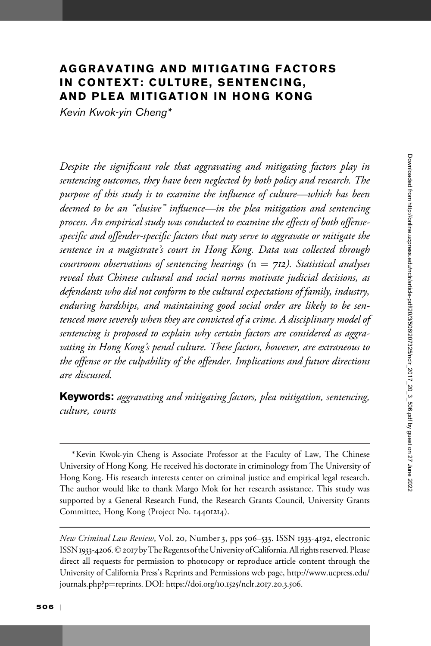# AGGRAVATING AND MITIGATING FACTORS IN CONTEXT: CULTURE, SENTENCING, AND PLEA MITIGATION IN HONG KONG

Kevin Kwok-yin Cheng\*

Despite the significant role that aggravating and mitigating factors play in sentencing outcomes, they have been neglected by both policy and research. The purpose of this study is to examine the influence of culture—which has been deemed to be an ''elusive'' influence—in the plea mitigation and sentencing process. An empirical study was conducted to examine the effects of both offensespecific and offender-specific factors that may serve to aggravate or mitigate the sentence in a magistrate's court in Hong Kong. Data was collected through courtroom observations of sentencing hearings  $(n = 712)$ . Statistical analyses reveal that Chinese cultural and social norms motivate judicial decisions, as defendants who did not conform to the cultural expectations of family, industry, enduring hardships, and maintaining good social order are likely to be sentenced more severely when they are convicted of a crime. A disciplinary model of sentencing is proposed to explain why certain factors are considered as aggravating in Hong Kong's penal culture. These factors, however, are extraneous to the offense or the culpability of the offender. Implications and future directions are discussed.

Keywords: aggravating and mitigating factors, plea mitigation, sentencing, culture, courts

\*Kevin Kwok-yin Cheng is Associate Professor at the Faculty of Law, The Chinese University of Hong Kong. He received his doctorate in criminology from The University of Hong Kong. His research interests center on criminal justice and empirical legal research. The author would like to thank Margo Mok for her research assistance. This study was supported by a General Research Fund, the Research Grants Council, University Grants Committee, Hong Kong (Project No. 14401214).

New Criminal Law Review, Vol. 20, Number 3, pps 506–533. ISSN 1933-4192, electronic ISSN 1933-4206. © 2017 by The Regents of the University of California. All rights reserved. Please direct all requests for permission to photocopy or reproduce article content through the University of California Press's Reprints and Permissions web page, [http://www.ucpress.edu/](http://www.ucpress.edu/journals.php?p=reprints) [journals.php?p](http://www.ucpress.edu/journals.php?p=reprints)=[reprints](http://www.ucpress.edu/journals.php?p=reprints). [DOI: https://doi.org/](https://doi.org/10.1525/nclr.2017.20.3.506)10.1525/nclr.2017.20.3.506.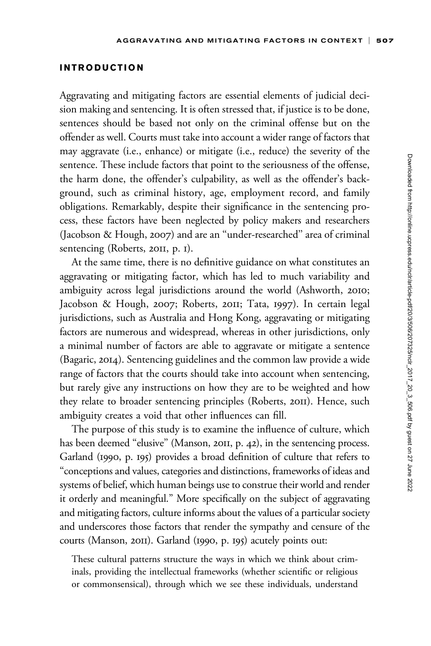### INTRODUCTION

Aggravating and mitigating factors are essential elements of judicial decision making and sentencing. It is often stressed that, if justice is to be done, sentences should be based not only on the criminal offense but on the offender as well. Courts must take into account a wider range of factors that may aggravate (i.e., enhance) or mitigate (i.e., reduce) the severity of the sentence. These include factors that point to the seriousness of the offense, the harm done, the offender's culpability, as well as the offender's background, such as criminal history, age, employment record, and family obligations. Remarkably, despite their significance in the sentencing process, these factors have been neglected by policy makers and researchers (Jacobson & Hough, 2007) and are an ''under-researched'' area of criminal sentencing (Roberts, 2011, p. 1).

At the same time, there is no definitive guidance on what constitutes an aggravating or mitigating factor, which has led to much variability and ambiguity across legal jurisdictions around the world (Ashworth, 2010; Jacobson & Hough, 2007; Roberts, 2011; Tata, 1997). In certain legal jurisdictions, such as Australia and Hong Kong, aggravating or mitigating factors are numerous and widespread, whereas in other jurisdictions, only a minimal number of factors are able to aggravate or mitigate a sentence (Bagaric, 2014). Sentencing guidelines and the common law provide a wide range of factors that the courts should take into account when sentencing, but rarely give any instructions on how they are to be weighted and how they relate to broader sentencing principles (Roberts, 2011). Hence, such ambiguity creates a void that other influences can fill.

The purpose of this study is to examine the influence of culture, which has been deemed "elusive" (Manson, 2011, p. 42), in the sentencing process. Garland (1990, p. 195) provides a broad definition of culture that refers to ''conceptions and values, categories and distinctions, frameworks of ideas and systems of belief, which human beings use to construe their world and render it orderly and meaningful.'' More specifically on the subject of aggravating and mitigating factors, culture informs about the values of a particular society and underscores those factors that render the sympathy and censure of the courts (Manson, 2011). Garland (1990, p. 195) acutely points out:

These cultural patterns structure the ways in which we think about criminals, providing the intellectual frameworks (whether scientific or religious or commonsensical), through which we see these individuals, understand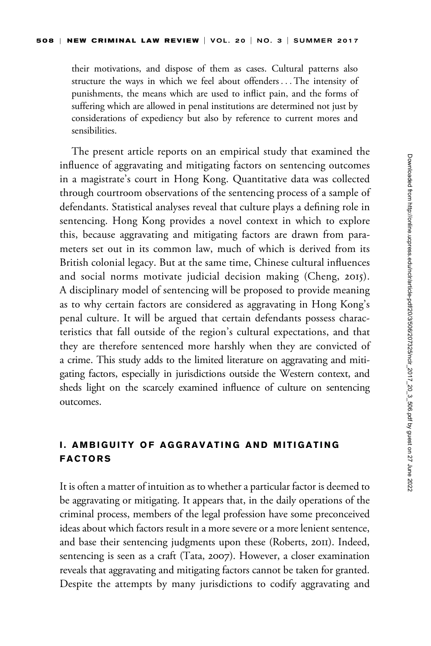their motivations, and dispose of them as cases. Cultural patterns also structure the ways in which we feel about offenders ... The intensity of punishments, the means which are used to inflict pain, and the forms of suffering which are allowed in penal institutions are determined not just by considerations of expediency but also by reference to current mores and sensibilities.

The present article reports on an empirical study that examined the influence of aggravating and mitigating factors on sentencing outcomes in a magistrate's court in Hong Kong. Quantitative data was collected through courtroom observations of the sentencing process of a sample of defendants. Statistical analyses reveal that culture plays a defining role in sentencing. Hong Kong provides a novel context in which to explore this, because aggravating and mitigating factors are drawn from parameters set out in its common law, much of which is derived from its British colonial legacy. But at the same time, Chinese cultural influences and social norms motivate judicial decision making (Cheng, 2015). A disciplinary model of sentencing will be proposed to provide meaning as to why certain factors are considered as aggravating in Hong Kong's penal culture. It will be argued that certain defendants possess characteristics that fall outside of the region's cultural expectations, and that they are therefore sentenced more harshly when they are convicted of a crime. This study adds to the limited literature on aggravating and mitigating factors, especially in jurisdictions outside the Western context, and sheds light on the scarcely examined influence of culture on sentencing outcomes.

# I. AMBIGUITY OF AGGRAVATING AND MITIGATING FACTORS

It is often a matter of intuition as to whether a particular factor is deemed to be aggravating or mitigating. It appears that, in the daily operations of the criminal process, members of the legal profession have some preconceived ideas about which factors result in a more severe or a more lenient sentence, and base their sentencing judgments upon these (Roberts, 2011). Indeed, sentencing is seen as a craft (Tata, 2007). However, a closer examination reveals that aggravating and mitigating factors cannot be taken for granted. Despite the attempts by many jurisdictions to codify aggravating and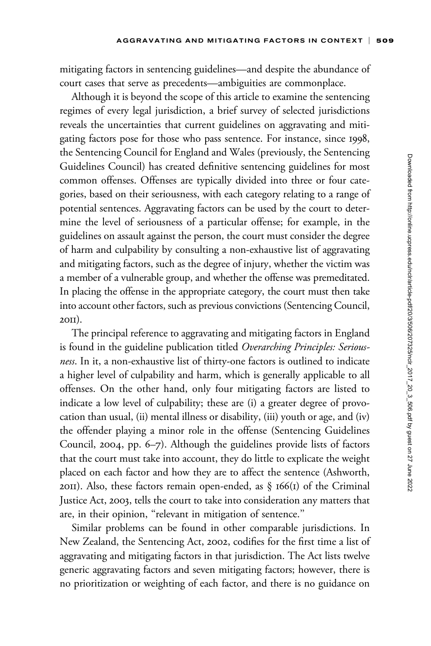mitigating factors in sentencing guidelines—and despite the abundance of court cases that serve as precedents—ambiguities are commonplace.

Although it is beyond the scope of this article to examine the sentencing regimes of every legal jurisdiction, a brief survey of selected jurisdictions reveals the uncertainties that current guidelines on aggravating and mitigating factors pose for those who pass sentence. For instance, since 1998, the Sentencing Council for England and Wales (previously, the Sentencing Guidelines Council) has created definitive sentencing guidelines for most common offenses. Offenses are typically divided into three or four categories, based on their seriousness, with each category relating to a range of potential sentences. Aggravating factors can be used by the court to determine the level of seriousness of a particular offense; for example, in the guidelines on assault against the person, the court must consider the degree of harm and culpability by consulting a non-exhaustive list of aggravating and mitigating factors, such as the degree of injury, whether the victim was a member of a vulnerable group, and whether the offense was premeditated. In placing the offense in the appropriate category, the court must then take into account other factors, such as previous convictions (Sentencing Council, 2011).

The principal reference to aggravating and mitigating factors in England is found in the guideline publication titled Overarching Principles: Seriousness. In it, a non-exhaustive list of thirty-one factors is outlined to indicate a higher level of culpability and harm, which is generally applicable to all offenses. On the other hand, only four mitigating factors are listed to indicate a low level of culpability; these are (i) a greater degree of provocation than usual, (ii) mental illness or disability, (iii) youth or age, and (iv) the offender playing a minor role in the offense (Sentencing Guidelines Council, 2004, pp. 6–7). Although the guidelines provide lists of factors that the court must take into account, they do little to explicate the weight placed on each factor and how they are to affect the sentence (Ashworth, 2011). Also, these factors remain open-ended, as  $\S$  166(1) of the Criminal Justice Act, 2003, tells the court to take into consideration any matters that are, in their opinion, ''relevant in mitigation of sentence.''

Similar problems can be found in other comparable jurisdictions. In New Zealand, the Sentencing Act, 2002, codifies for the first time a list of aggravating and mitigating factors in that jurisdiction. The Act lists twelve generic aggravating factors and seven mitigating factors; however, there is no prioritization or weighting of each factor, and there is no guidance on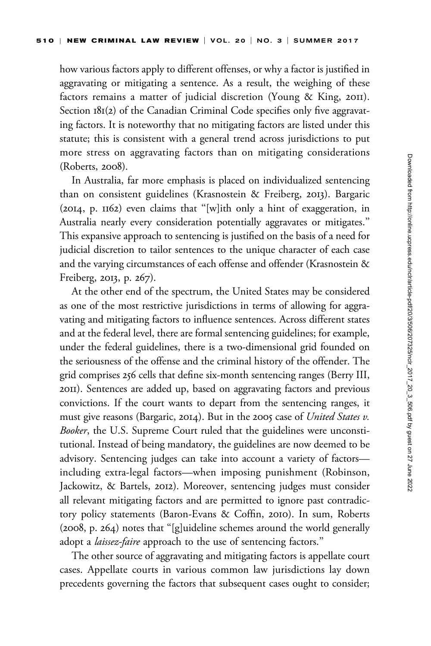how various factors apply to different offenses, or why a factor is justified in aggravating or mitigating a sentence. As a result, the weighing of these factors remains a matter of judicial discretion (Young & King, 2011). Section 181(2) of the Canadian Criminal Code specifies only five aggravating factors. It is noteworthy that no mitigating factors are listed under this statute; this is consistent with a general trend across jurisdictions to put more stress on aggravating factors than on mitigating considerations (Roberts, 2008).

In Australia, far more emphasis is placed on individualized sentencing than on consistent guidelines (Krasnostein & Freiberg, 2013). Bargaric (2014, p. 1162) even claims that ''[w]ith only a hint of exaggeration, in Australia nearly every consideration potentially aggravates or mitigates.'' This expansive approach to sentencing is justified on the basis of a need for judicial discretion to tailor sentences to the unique character of each case and the varying circumstances of each offense and offender (Krasnostein & Freiberg, 2013, p. 267).

At the other end of the spectrum, the United States may be considered as one of the most restrictive jurisdictions in terms of allowing for aggravating and mitigating factors to influence sentences. Across different states and at the federal level, there are formal sentencing guidelines; for example, under the federal guidelines, there is a two-dimensional grid founded on the seriousness of the offense and the criminal history of the offender. The grid comprises 256 cells that define six-month sentencing ranges (Berry III, 2011). Sentences are added up, based on aggravating factors and previous convictions. If the court wants to depart from the sentencing ranges, it must give reasons (Bargaric, 2014). But in the 2005 case of United States v. Booker, the U.S. Supreme Court ruled that the guidelines were unconstitutional. Instead of being mandatory, the guidelines are now deemed to be advisory. Sentencing judges can take into account a variety of factors including extra-legal factors—when imposing punishment (Robinson, Jackowitz, & Bartels, 2012). Moreover, sentencing judges must consider all relevant mitigating factors and are permitted to ignore past contradictory policy statements (Baron-Evans & Coffin, 2010). In sum, Roberts (2008, p. 264) notes that ''[g]uideline schemes around the world generally adopt a *laissez-faire* approach to the use of sentencing factors."

The other source of aggravating and mitigating factors is appellate court cases. Appellate courts in various common law jurisdictions lay down precedents governing the factors that subsequent cases ought to consider;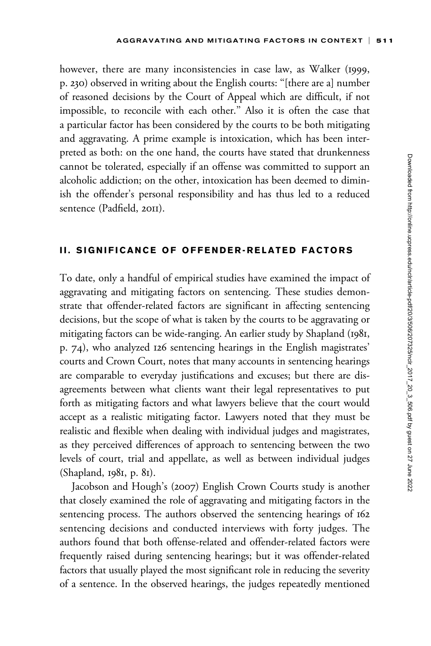however, there are many inconsistencies in case law, as Walker (1999, p. 230) observed in writing about the English courts: ''[there are a] number of reasoned decisions by the Court of Appeal which are difficult, if not impossible, to reconcile with each other.'' Also it is often the case that a particular factor has been considered by the courts to be both mitigating and aggravating. A prime example is intoxication, which has been interpreted as both: on the one hand, the courts have stated that drunkenness cannot be tolerated, especially if an offense was committed to support an alcoholic addiction; on the other, intoxication has been deemed to diminish the offender's personal responsibility and has thus led to a reduced sentence (Padfield, 2011).

### II. SIGNIFICANCE OF OFFENDER-RELATED FACTORS

To date, only a handful of empirical studies have examined the impact of aggravating and mitigating factors on sentencing. These studies demonstrate that offender-related factors are significant in affecting sentencing decisions, but the scope of what is taken by the courts to be aggravating or mitigating factors can be wide-ranging. An earlier study by Shapland (1981, p. 74), who analyzed 126 sentencing hearings in the English magistrates' courts and Crown Court, notes that many accounts in sentencing hearings are comparable to everyday justifications and excuses; but there are disagreements between what clients want their legal representatives to put forth as mitigating factors and what lawyers believe that the court would accept as a realistic mitigating factor. Lawyers noted that they must be realistic and flexible when dealing with individual judges and magistrates, as they perceived differences of approach to sentencing between the two levels of court, trial and appellate, as well as between individual judges (Shapland, 1981, p. 81).

Jacobson and Hough's (2007) English Crown Courts study is another that closely examined the role of aggravating and mitigating factors in the sentencing process. The authors observed the sentencing hearings of 162 sentencing decisions and conducted interviews with forty judges. The authors found that both offense-related and offender-related factors were frequently raised during sentencing hearings; but it was offender-related factors that usually played the most significant role in reducing the severity of a sentence. In the observed hearings, the judges repeatedly mentioned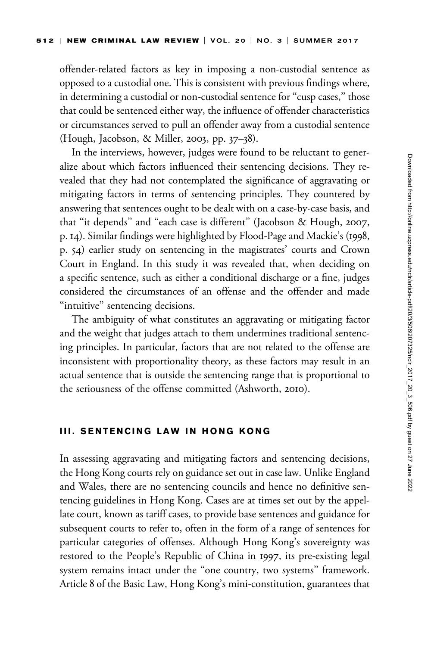offender-related factors as key in imposing a non-custodial sentence as opposed to a custodial one. This is consistent with previous findings where, in determining a custodial or non-custodial sentence for ''cusp cases,'' those that could be sentenced either way, the influence of offender characteristics or circumstances served to pull an offender away from a custodial sentence (Hough, Jacobson, & Miller, 2003, pp. 37–38).

In the interviews, however, judges were found to be reluctant to generalize about which factors influenced their sentencing decisions. They revealed that they had not contemplated the significance of aggravating or mitigating factors in terms of sentencing principles. They countered by answering that sentences ought to be dealt with on a case-by-case basis, and that ''it depends'' and ''each case is different'' (Jacobson & Hough, 2007, p. 14). Similar findings were highlighted by Flood-Page and Mackie's (1998, p. 54) earlier study on sentencing in the magistrates' courts and Crown Court in England. In this study it was revealed that, when deciding on a specific sentence, such as either a conditional discharge or a fine, judges considered the circumstances of an offense and the offender and made "intuitive" sentencing decisions.

The ambiguity of what constitutes an aggravating or mitigating factor and the weight that judges attach to them undermines traditional sentencing principles. In particular, factors that are not related to the offense are inconsistent with proportionality theory, as these factors may result in an actual sentence that is outside the sentencing range that is proportional to the seriousness of the offense committed (Ashworth, 2010).

### III. SENTENCING LAW IN HONG KONG

In assessing aggravating and mitigating factors and sentencing decisions, the Hong Kong courts rely on guidance set out in case law. Unlike England and Wales, there are no sentencing councils and hence no definitive sentencing guidelines in Hong Kong. Cases are at times set out by the appellate court, known as tariff cases, to provide base sentences and guidance for subsequent courts to refer to, often in the form of a range of sentences for particular categories of offenses. Although Hong Kong's sovereignty was restored to the People's Republic of China in 1997, its pre-existing legal system remains intact under the ''one country, two systems'' framework. Article 8 of the Basic Law, Hong Kong's mini-constitution, guarantees that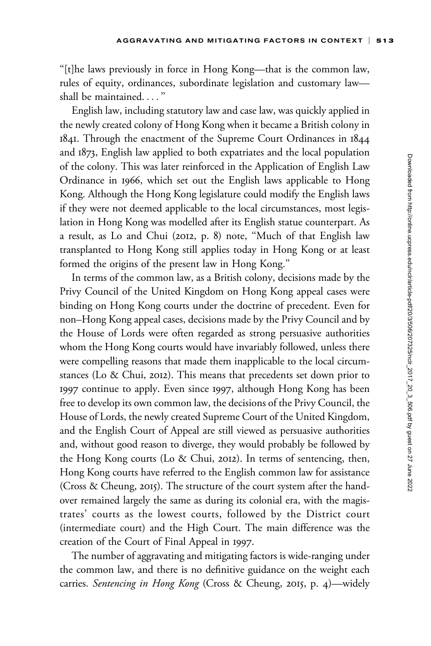''[t]he laws previously in force in Hong Kong—that is the common law, rules of equity, ordinances, subordinate legislation and customary law shall be maintained. ... ''

English law, including statutory law and case law, was quickly applied in the newly created colony of Hong Kong when it became a British colony in 1841. Through the enactment of the Supreme Court Ordinances in 1844 and 1873, English law applied to both expatriates and the local population of the colony. This was later reinforced in the Application of English Law Ordinance in 1966, which set out the English laws applicable to Hong Kong. Although the Hong Kong legislature could modify the English laws if they were not deemed applicable to the local circumstances, most legislation in Hong Kong was modelled after its English statue counterpart. As a result, as Lo and Chui (2012, p. 8) note, ''Much of that English law transplanted to Hong Kong still applies today in Hong Kong or at least formed the origins of the present law in Hong Kong.''

In terms of the common law, as a British colony, decisions made by the Privy Council of the United Kingdom on Hong Kong appeal cases were binding on Hong Kong courts under the doctrine of precedent. Even for non–Hong Kong appeal cases, decisions made by the Privy Council and by the House of Lords were often regarded as strong persuasive authorities whom the Hong Kong courts would have invariably followed, unless there were compelling reasons that made them inapplicable to the local circumstances (Lo & Chui, 2012). This means that precedents set down prior to 1997 continue to apply. Even since 1997, although Hong Kong has been free to develop its own common law, the decisions of the Privy Council, the House of Lords, the newly created Supreme Court of the United Kingdom, and the English Court of Appeal are still viewed as persuasive authorities and, without good reason to diverge, they would probably be followed by the Hong Kong courts (Lo & Chui, 2012). In terms of sentencing, then, Hong Kong courts have referred to the English common law for assistance (Cross & Cheung, 2015). The structure of the court system after the handover remained largely the same as during its colonial era, with the magistrates' courts as the lowest courts, followed by the District court (intermediate court) and the High Court. The main difference was the creation of the Court of Final Appeal in 1997.

The number of aggravating and mitigating factors is wide-ranging under the common law, and there is no definitive guidance on the weight each carries. Sentencing in Hong Kong (Cross & Cheung, 2015, p. 4)—widely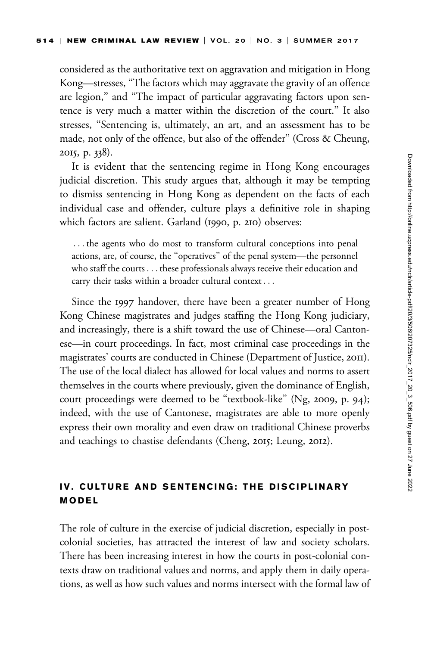considered as the authoritative text on aggravation and mitigation in Hong Kong—stresses, ''The factors which may aggravate the gravity of an offence are legion,'' and ''The impact of particular aggravating factors upon sentence is very much a matter within the discretion of the court.'' It also stresses, ''Sentencing is, ultimately, an art, and an assessment has to be made, not only of the offence, but also of the offender'' (Cross & Cheung, 2015, p. 338).

It is evident that the sentencing regime in Hong Kong encourages judicial discretion. This study argues that, although it may be tempting to dismiss sentencing in Hong Kong as dependent on the facts of each individual case and offender, culture plays a definitive role in shaping which factors are salient. Garland (1990, p. 210) observes:

... the agents who do most to transform cultural conceptions into penal actions, are, of course, the ''operatives'' of the penal system—the personnel who staff the courts ... these professionals always receive their education and carry their tasks within a broader cultural context ...

Since the 1997 handover, there have been a greater number of Hong Kong Chinese magistrates and judges staffing the Hong Kong judiciary, and increasingly, there is a shift toward the use of Chinese—oral Cantonese—in court proceedings. In fact, most criminal case proceedings in the magistrates' courts are conducted in Chinese (Department of Justice, 2011). The use of the local dialect has allowed for local values and norms to assert themselves in the courts where previously, given the dominance of English, court proceedings were deemed to be ''textbook-like'' (Ng, 2009, p. 94); indeed, with the use of Cantonese, magistrates are able to more openly express their own morality and even draw on traditional Chinese proverbs and teachings to chastise defendants (Cheng, 2015; Leung, 2012).

## IV. CULTURE AND SENTENCING: THE DISCIPLINARY MODEL

The role of culture in the exercise of judicial discretion, especially in postcolonial societies, has attracted the interest of law and society scholars. There has been increasing interest in how the courts in post-colonial contexts draw on traditional values and norms, and apply them in daily operations, as well as how such values and norms intersect with the formal law of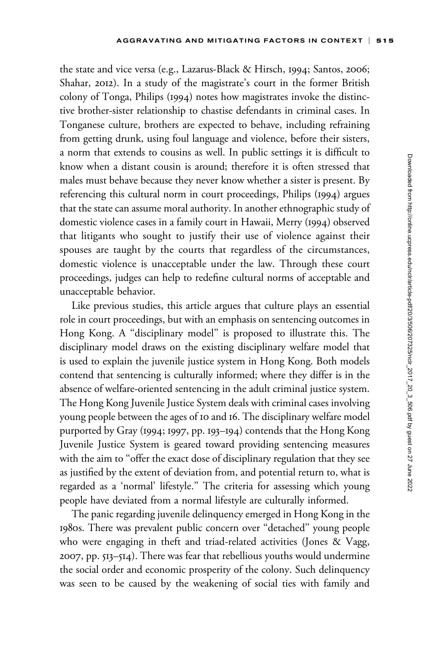the state and vice versa (e.g., Lazarus-Black & Hirsch, 1994; Santos, 2006; Shahar, 2012). In a study of the magistrate's court in the former British colony of Tonga, Philips (1994) notes how magistrates invoke the distinctive brother-sister relationship to chastise defendants in criminal cases. In Tonganese culture, brothers are expected to behave, including refraining from getting drunk, using foul language and violence, before their sisters, a norm that extends to cousins as well. In public settings it is difficult to know when a distant cousin is around; therefore it is often stressed that males must behave because they never know whether a sister is present. By referencing this cultural norm in court proceedings, Philips (1994) argues that the state can assume moral authority. In another ethnographic study of domestic violence cases in a family court in Hawaii, Merry (1994) observed that litigants who sought to justify their use of violence against their spouses are taught by the courts that regardless of the circumstances, domestic violence is unacceptable under the law. Through these court proceedings, judges can help to redefine cultural norms of acceptable and unacceptable behavior.

Like previous studies, this article argues that culture plays an essential role in court proceedings, but with an emphasis on sentencing outcomes in Hong Kong. A "disciplinary model" is proposed to illustrate this. The disciplinary model draws on the existing disciplinary welfare model that is used to explain the juvenile justice system in Hong Kong. Both models contend that sentencing is culturally informed; where they differ is in the absence of welfare-oriented sentencing in the adult criminal justice system. The Hong Kong Juvenile Justice System deals with criminal cases involving young people between the ages of 10 and 16. The disciplinary welfare model purported by Gray (1994; 1997, pp. 193–194) contends that the Hong Kong Juvenile Justice System is geared toward providing sentencing measures with the aim to "offer the exact dose of disciplinary regulation that they see as justified by the extent of deviation from, and potential return to, what is regarded as a 'normal' lifestyle.'' The criteria for assessing which young people have deviated from a normal lifestyle are culturally informed.

The panic regarding juvenile delinquency emerged in Hong Kong in the 1980s. There was prevalent public concern over ''detached'' young people who were engaging in theft and triad-related activities (Jones & Vagg, 2007, pp. 513–514). There was fear that rebellious youths would undermine the social order and economic prosperity of the colony. Such delinquency was seen to be caused by the weakening of social ties with family and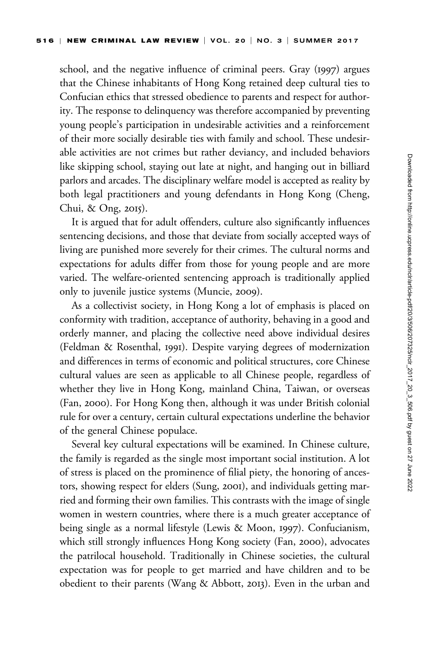school, and the negative influence of criminal peers. Gray (1997) argues that the Chinese inhabitants of Hong Kong retained deep cultural ties to Confucian ethics that stressed obedience to parents and respect for authority. The response to delinquency was therefore accompanied by preventing young people's participation in undesirable activities and a reinforcement of their more socially desirable ties with family and school. These undesirable activities are not crimes but rather deviancy, and included behaviors like skipping school, staying out late at night, and hanging out in billiard parlors and arcades. The disciplinary welfare model is accepted as reality by both legal practitioners and young defendants in Hong Kong (Cheng, Chui, & Ong, 2015).

It is argued that for adult offenders, culture also significantly influences sentencing decisions, and those that deviate from socially accepted ways of living are punished more severely for their crimes. The cultural norms and expectations for adults differ from those for young people and are more varied. The welfare-oriented sentencing approach is traditionally applied only to juvenile justice systems (Muncie, 2009).

As a collectivist society, in Hong Kong a lot of emphasis is placed on conformity with tradition, acceptance of authority, behaving in a good and orderly manner, and placing the collective need above individual desires (Feldman & Rosenthal, 1991). Despite varying degrees of modernization and differences in terms of economic and political structures, core Chinese cultural values are seen as applicable to all Chinese people, regardless of whether they live in Hong Kong, mainland China, Taiwan, or overseas (Fan, 2000). For Hong Kong then, although it was under British colonial rule for over a century, certain cultural expectations underline the behavior of the general Chinese populace.

Several key cultural expectations will be examined. In Chinese culture, the family is regarded as the single most important social institution. A lot of stress is placed on the prominence of filial piety, the honoring of ancestors, showing respect for elders (Sung, 2001), and individuals getting married and forming their own families. This contrasts with the image of single women in western countries, where there is a much greater acceptance of being single as a normal lifestyle (Lewis & Moon, 1997). Confucianism, which still strongly influences Hong Kong society (Fan, 2000), advocates the patrilocal household. Traditionally in Chinese societies, the cultural expectation was for people to get married and have children and to be obedient to their parents (Wang & Abbott, 2013). Even in the urban and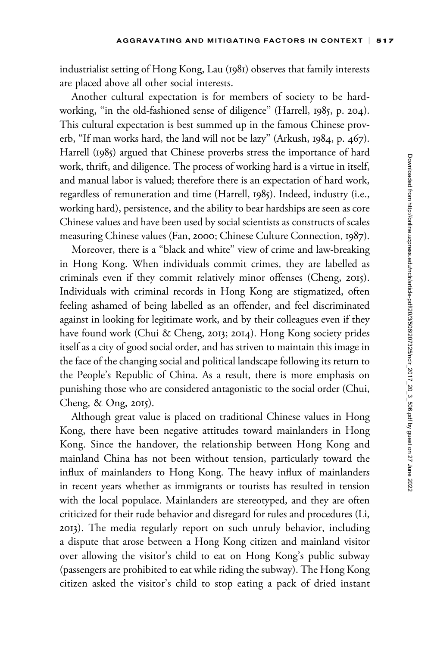industrialist setting of Hong Kong, Lau (1981) observes that family interests are placed above all other social interests.

Another cultural expectation is for members of society to be hardworking, ''in the old-fashioned sense of diligence'' (Harrell, 1985, p. 204). This cultural expectation is best summed up in the famous Chinese proverb, ''If man works hard, the land will not be lazy'' (Arkush, 1984, p. 467). Harrell (1985) argued that Chinese proverbs stress the importance of hard work, thrift, and diligence. The process of working hard is a virtue in itself, and manual labor is valued; therefore there is an expectation of hard work, regardless of remuneration and time (Harrell, 1985). Indeed, industry (i.e., working hard), persistence, and the ability to bear hardships are seen as core Chinese values and have been used by social scientists as constructs of scales measuring Chinese values (Fan, 2000; Chinese Culture Connection, 1987).

Moreover, there is a ''black and white'' view of crime and law-breaking in Hong Kong. When individuals commit crimes, they are labelled as criminals even if they commit relatively minor offenses (Cheng, 2015). Individuals with criminal records in Hong Kong are stigmatized, often feeling ashamed of being labelled as an offender, and feel discriminated against in looking for legitimate work, and by their colleagues even if they have found work (Chui & Cheng, 2013; 2014). Hong Kong society prides itself as a city of good social order, and has striven to maintain this image in the face of the changing social and political landscape following its return to the People's Republic of China. As a result, there is more emphasis on punishing those who are considered antagonistic to the social order (Chui, Cheng, & Ong, 2015).

Although great value is placed on traditional Chinese values in Hong Kong, there have been negative attitudes toward mainlanders in Hong Kong. Since the handover, the relationship between Hong Kong and mainland China has not been without tension, particularly toward the influx of mainlanders to Hong Kong. The heavy influx of mainlanders in recent years whether as immigrants or tourists has resulted in tension with the local populace. Mainlanders are stereotyped, and they are often criticized for their rude behavior and disregard for rules and procedures (Li, 2013). The media regularly report on such unruly behavior, including a dispute that arose between a Hong Kong citizen and mainland visitor over allowing the visitor's child to eat on Hong Kong's public subway (passengers are prohibited to eat while riding the subway). The Hong Kong citizen asked the visitor's child to stop eating a pack of dried instant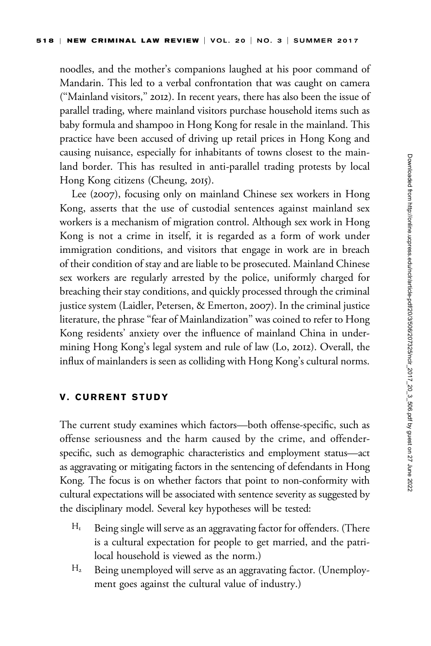noodles, and the mother's companions laughed at his poor command of Mandarin. This led to a verbal confrontation that was caught on camera (''Mainland visitors,'' 2012). In recent years, there has also been the issue of parallel trading, where mainland visitors purchase household items such as baby formula and shampoo in Hong Kong for resale in the mainland. This practice have been accused of driving up retail prices in Hong Kong and causing nuisance, especially for inhabitants of towns closest to the mainland border. This has resulted in anti-parallel trading protests by local Hong Kong citizens (Cheung, 2015).

Lee (2007), focusing only on mainland Chinese sex workers in Hong Kong, asserts that the use of custodial sentences against mainland sex workers is a mechanism of migration control. Although sex work in Hong Kong is not a crime in itself, it is regarded as a form of work under immigration conditions, and visitors that engage in work are in breach of their condition of stay and are liable to be prosecuted. Mainland Chinese sex workers are regularly arrested by the police, uniformly charged for breaching their stay conditions, and quickly processed through the criminal justice system (Laidler, Petersen, & Emerton, 2007). In the criminal justice literature, the phrase ''fear of Mainlandization'' was coined to refer to Hong Kong residents' anxiety over the influence of mainland China in undermining Hong Kong's legal system and rule of law (Lo, 2012). Overall, the influx of mainlanders is seen as colliding with Hong Kong's cultural norms.

#### V. CURRENT STUDY

The current study examines which factors—both offense-specific, such as offense seriousness and the harm caused by the crime, and offenderspecific, such as demographic characteristics and employment status—act as aggravating or mitigating factors in the sentencing of defendants in Hong Kong. The focus is on whether factors that point to non-conformity with cultural expectations will be associated with sentence severity as suggested by the disciplinary model. Several key hypotheses will be tested:

- $H<sub>1</sub>$  Being single will serve as an aggravating factor for offenders. (There is a cultural expectation for people to get married, and the patrilocal household is viewed as the norm.)
- $H<sub>2</sub>$  Being unemployed will serve as an aggravating factor. (Unemployment goes against the cultural value of industry.)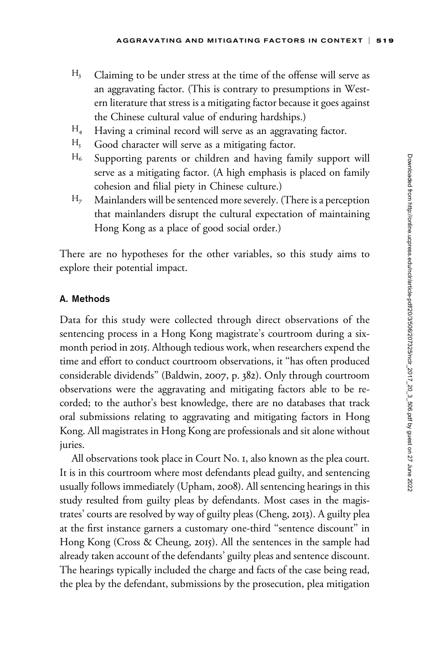- $H_3$  Claiming to be under stress at the time of the offense will serve as an aggravating factor. (This is contrary to presumptions in Western literature that stress is a mitigating factor because it goes against the Chinese cultural value of enduring hardships.)
- $H_4$  Having a criminal record will serve as an aggravating factor.
- $H<sub>5</sub>$  Good character will serve as a mitigating factor.
- $H_6$  Supporting parents or children and having family support will serve as a mitigating factor. (A high emphasis is placed on family cohesion and filial piety in Chinese culture.)
- $H_7$  Mainlanders will be sentenced more severely. (There is a perception that mainlanders disrupt the cultural expectation of maintaining Hong Kong as a place of good social order.)

There are no hypotheses for the other variables, so this study aims to explore their potential impact.

## A. Methods

Data for this study were collected through direct observations of the sentencing process in a Hong Kong magistrate's courtroom during a sixmonth period in 2015. Although tedious work, when researchers expend the time and effort to conduct courtroom observations, it ''has often produced considerable dividends'' (Baldwin, 2007, p. 382). Only through courtroom observations were the aggravating and mitigating factors able to be recorded; to the author's best knowledge, there are no databases that track oral submissions relating to aggravating and mitigating factors in Hong Kong. All magistrates in Hong Kong are professionals and sit alone without juries.

All observations took place in Court No. 1, also known as the plea court. It is in this courtroom where most defendants plead guilty, and sentencing usually follows immediately (Upham, 2008). All sentencing hearings in this study resulted from guilty pleas by defendants. Most cases in the magistrates' courts are resolved by way of guilty pleas (Cheng, 2013). A guilty plea at the first instance garners a customary one-third ''sentence discount'' in Hong Kong (Cross & Cheung, 2015). All the sentences in the sample had already taken account of the defendants' guilty pleas and sentence discount. The hearings typically included the charge and facts of the case being read, the plea by the defendant, submissions by the prosecution, plea mitigation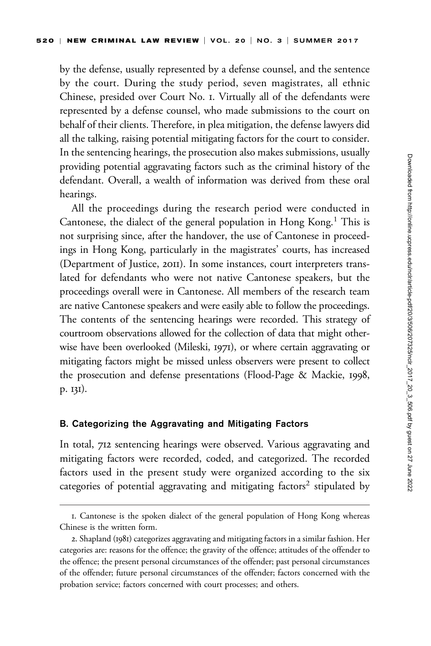by the defense, usually represented by a defense counsel, and the sentence by the court. During the study period, seven magistrates, all ethnic Chinese, presided over Court No. 1. Virtually all of the defendants were represented by a defense counsel, who made submissions to the court on behalf of their clients. Therefore, in plea mitigation, the defense lawyers did all the talking, raising potential mitigating factors for the court to consider. In the sentencing hearings, the prosecution also makes submissions, usually providing potential aggravating factors such as the criminal history of the defendant. Overall, a wealth of information was derived from these oral hearings.

All the proceedings during the research period were conducted in Cantonese, the dialect of the general population in Hong Kong.<sup>1</sup> This is not surprising since, after the handover, the use of Cantonese in proceedings in Hong Kong, particularly in the magistrates' courts, has increased (Department of Justice, 2011). In some instances, court interpreters translated for defendants who were not native Cantonese speakers, but the proceedings overall were in Cantonese. All members of the research team are native Cantonese speakers and were easily able to follow the proceedings. The contents of the sentencing hearings were recorded. This strategy of courtroom observations allowed for the collection of data that might otherwise have been overlooked (Mileski, 1971), or where certain aggravating or mitigating factors might be missed unless observers were present to collect the prosecution and defense presentations (Flood-Page & Mackie, 1998, p. 131).

#### B. Categorizing the Aggravating and Mitigating Factors

In total, 712 sentencing hearings were observed. Various aggravating and mitigating factors were recorded, coded, and categorized. The recorded factors used in the present study were organized according to the six categories of potential aggravating and mitigating factors<sup>2</sup> stipulated by

<sup>1.</sup> Cantonese is the spoken dialect of the general population of Hong Kong whereas Chinese is the written form.

<sup>2.</sup> Shapland (1981) categorizes aggravating and mitigating factors in a similar fashion. Her categories are: reasons for the offence; the gravity of the offence; attitudes of the offender to the offence; the present personal circumstances of the offender; past personal circumstances of the offender; future personal circumstances of the offender; factors concerned with the probation service; factors concerned with court processes; and others.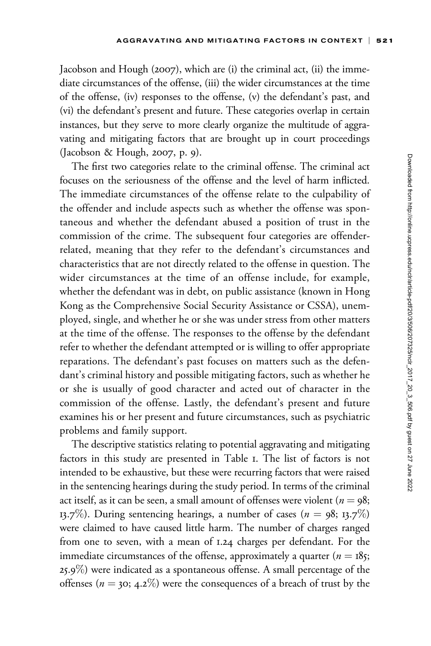Jacobson and Hough (2007), which are (i) the criminal act, (ii) the immediate circumstances of the offense, (iii) the wider circumstances at the time of the offense, (iv) responses to the offense, (v) the defendant's past, and (vi) the defendant's present and future. These categories overlap in certain instances, but they serve to more clearly organize the multitude of aggravating and mitigating factors that are brought up in court proceedings (Jacobson & Hough, 2007, p. 9).

The first two categories relate to the criminal offense. The criminal act focuses on the seriousness of the offense and the level of harm inflicted. The immediate circumstances of the offense relate to the culpability of the offender and include aspects such as whether the offense was spontaneous and whether the defendant abused a position of trust in the commission of the crime. The subsequent four categories are offenderrelated, meaning that they refer to the defendant's circumstances and characteristics that are not directly related to the offense in question. The wider circumstances at the time of an offense include, for example, whether the defendant was in debt, on public assistance (known in Hong Kong as the Comprehensive Social Security Assistance or CSSA), unemployed, single, and whether he or she was under stress from other matters at the time of the offense. The responses to the offense by the defendant refer to whether the defendant attempted or is willing to offer appropriate reparations. The defendant's past focuses on matters such as the defendant's criminal history and possible mitigating factors, such as whether he or she is usually of good character and acted out of character in the commission of the offense. Lastly, the defendant's present and future examines his or her present and future circumstances, such as psychiatric problems and family support.

The descriptive statistics relating to potential aggravating and mitigating factors in this study are presented in Table 1. The list of factors is not intended to be exhaustive, but these were recurring factors that were raised in the sentencing hearings during the study period. In terms of the criminal act itself, as it can be seen, a small amount of offenses were violent ( $n = 98$ ; 13.7%). During sentencing hearings, a number of cases ( $n = 98$ ; 13.7%) were claimed to have caused little harm. The number of charges ranged from one to seven, with a mean of 1.24 charges per defendant. For the immediate circumstances of the offense, approximately a quarter ( $n = 185$ ; 25.9%) were indicated as a spontaneous offense. A small percentage of the offenses ( $n = 30; 4.2\%)$  were the consequences of a breach of trust by the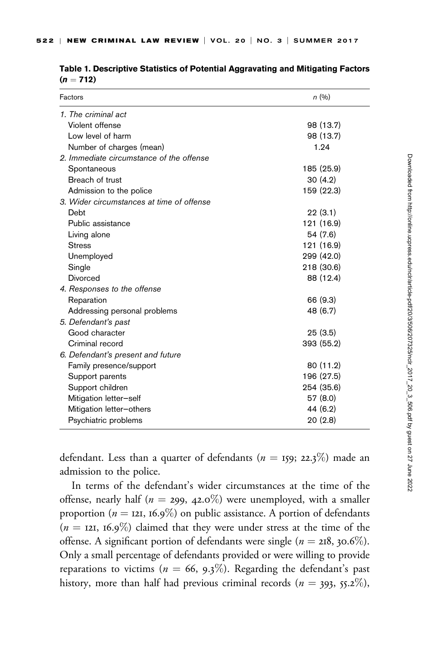| Factors                                   | n(96)      |
|-------------------------------------------|------------|
| 1. The criminal act                       |            |
| Violent offense                           | 98 (13.7)  |
| Low level of harm                         | 98 (13.7)  |
| Number of charges (mean)                  | 1.24       |
| 2. Immediate circumstance of the offense  |            |
| Spontaneous                               | 185 (25.9) |
| Breach of trust                           | 30(4.2)    |
| Admission to the police                   | 159 (22.3) |
| 3. Wider circumstances at time of offense |            |
| Debt                                      | 22(3.1)    |
| Public assistance                         | 121 (16.9) |
| Living alone                              | 54 (7.6)   |
| <b>Stress</b>                             | 121 (16.9) |
| Unemployed                                | 299 (42.0) |
| Single                                    | 218 (30.6) |
| <b>Divorced</b>                           | 88 (12.4)  |
| 4. Responses to the offense               |            |
| Reparation                                | 66 (9.3)   |
| Addressing personal problems              | 48 (6.7)   |
| 5. Defendant's past                       |            |
| Good character                            | 25(3.5)    |
| Criminal record                           | 393 (55.2) |
| 6. Defendant's present and future         |            |
| Family presence/support                   | 80 (11.2)  |
| Support parents                           | 196 (27.5) |
| Support children                          | 254 (35.6) |
| Mitigation letter-self                    | 57 (8.0)   |
| Mitigation letter-others                  | 44 (6.2)   |
| Psychiatric problems                      | 20(2.8)    |

Table 1. Descriptive Statistics of Potential Aggravating and Mitigating Factors  $(n = 712)$ 

defendant. Less than a quarter of defendants ( $n = 159$ ; 22.3%) made an admission to the police.

In terms of the defendant's wider circumstances at the time of the offense, nearly half ( $n = 299, 42.0\%$ ) were unemployed, with a smaller proportion ( $n = 121$ , 16.9%) on public assistance. A portion of defendants  $(n = 121, 16.9\%)$  claimed that they were under stress at the time of the offense. A significant portion of defendants were single ( $n = 218$ , 30.6%). Only a small percentage of defendants provided or were willing to provide reparations to victims ( $n = 66$ , 9.3%). Regarding the defendant's past history, more than half had previous criminal records ( $n = 393, 55.2\%$ ),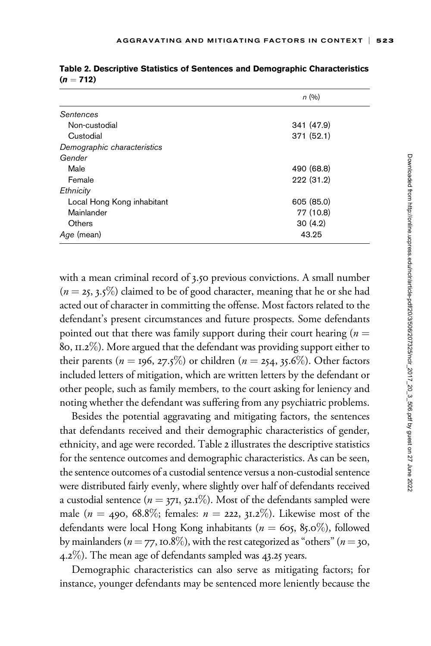|                             | n(96)      |
|-----------------------------|------------|
| Sentences                   |            |
| Non-custodial               | 341 (47.9) |
| Custodial                   | 371 (52.1) |
| Demographic characteristics |            |
| Gender                      |            |
| Male                        | 490 (68.8) |
| Female                      | 222 (31.2) |
| Ethnicity                   |            |
| Local Hong Kong inhabitant  | 605 (85.0) |
| Mainlander                  | 77 (10.8)  |
| Others                      | 30(4.2)    |
| Age (mean)                  | 43.25      |

Table 2. Descriptive Statistics of Sentences and Demographic Characteristics  $(n = 712)$ 

with a mean criminal record of 3.50 previous convictions. A small number  $(n = 25, 3.5\%)$  claimed to be of good character, meaning that he or she had acted out of character in committing the offense. Most factors related to the defendant's present circumstances and future prospects. Some defendants pointed out that there was family support during their court hearing ( $n =$ 80, 11.2%). More argued that the defendant was providing support either to their parents ( $n = 196, 27.5\%$ ) or children ( $n = 254, 35.6\%$ ). Other factors included letters of mitigation, which are written letters by the defendant or other people, such as family members, to the court asking for leniency and noting whether the defendant was suffering from any psychiatric problems.

Besides the potential aggravating and mitigating factors, the sentences that defendants received and their demographic characteristics of gender, ethnicity, and age were recorded. Table 2 illustrates the descriptive statistics for the sentence outcomes and demographic characteristics. As can be seen, the sentence outcomes of a custodial sentence versus a non-custodial sentence were distributed fairly evenly, where slightly over half of defendants received a custodial sentence ( $n = 371, 52.1\%$ ). Most of the defendants sampled were male (*n* = 490, 68.8%; females: *n* = 222, 31.2%). Likewise most of the defendants were local Hong Kong inhabitants ( $n = 605, 85.0\%$ ), followed by mainlanders ( $n = 77$ , 10.8%), with the rest categorized as "others" ( $n = 30$ , 4.2%). The mean age of defendants sampled was 43.25 years.

Demographic characteristics can also serve as mitigating factors; for instance, younger defendants may be sentenced more leniently because the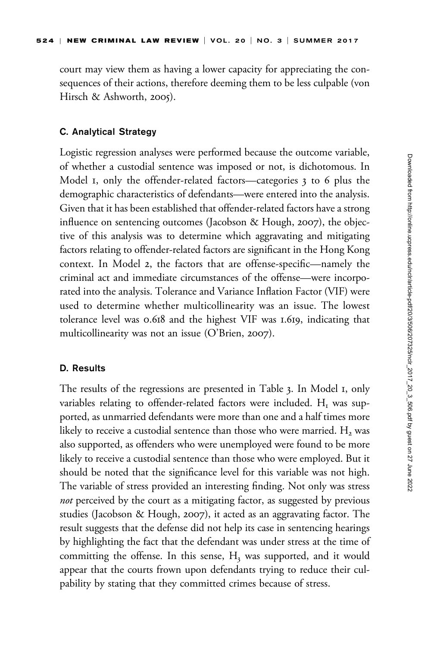court may view them as having a lower capacity for appreciating the consequences of their actions, therefore deeming them to be less culpable (von Hirsch & Ashworth, 2005).

#### C. Analytical Strategy

Logistic regression analyses were performed because the outcome variable, of whether a custodial sentence was imposed or not, is dichotomous. In Model 1, only the offender-related factors—categories 3 to 6 plus the demographic characteristics of defendants—were entered into the analysis. Given that it has been established that offender-related factors have a strong influence on sentencing outcomes (Jacobson & Hough, 2007), the objective of this analysis was to determine which aggravating and mitigating factors relating to offender-related factors are significant in the Hong Kong context. In Model 2, the factors that are offense-specific—namely the criminal act and immediate circumstances of the offense—were incorporated into the analysis. Tolerance and Variance Inflation Factor (VIF) were used to determine whether multicollinearity was an issue. The lowest tolerance level was 0.618 and the highest VIF was 1.619, indicating that multicollinearity was not an issue (O'Brien, 2007).

#### D. Results

The results of the regressions are presented in Table 3. In Model 1, only variables relating to offender-related factors were included.  $H<sub>r</sub>$  was supported, as unmarried defendants were more than one and a half times more likely to receive a custodial sentence than those who were married.  $H_2$  was also supported, as offenders who were unemployed were found to be more likely to receive a custodial sentence than those who were employed. But it should be noted that the significance level for this variable was not high. The variable of stress provided an interesting finding. Not only was stress not perceived by the court as a mitigating factor, as suggested by previous studies (Jacobson & Hough, 2007), it acted as an aggravating factor. The result suggests that the defense did not help its case in sentencing hearings by highlighting the fact that the defendant was under stress at the time of committing the offense. In this sense,  $H<sub>3</sub>$  was supported, and it would appear that the courts frown upon defendants trying to reduce their culpability by stating that they committed crimes because of stress.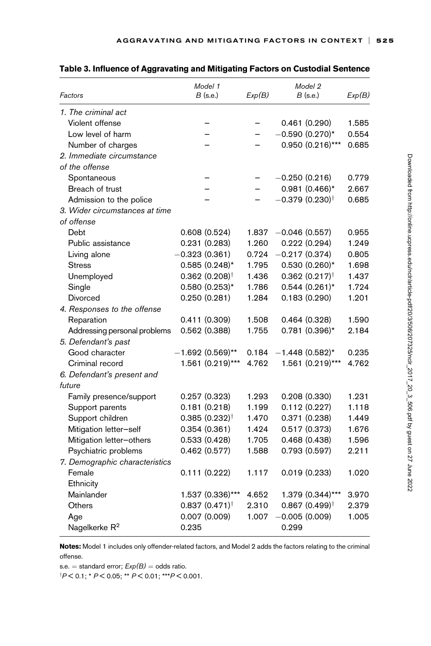|                                | Model 1                  |        | Model 2                     |        |
|--------------------------------|--------------------------|--------|-----------------------------|--------|
| Factors                        | $B$ (s.e.)               | Exp(B) | $B$ (s.e.)                  | Exp(B) |
| 1. The criminal act            |                          |        |                             |        |
| Violent offense                |                          |        | 0.461 (0.290)               | 1.585  |
| Low level of harm              |                          |        | $-0.590(0.270)$ *           | 0.554  |
| Number of charges              |                          |        | 0.950 (0.216)***            | 0.685  |
| 2. Immediate circumstance      |                          |        |                             |        |
| of the offense                 |                          |        |                             |        |
| Spontaneous                    |                          |        | $-0.250(0.216)$             | 0.779  |
| Breach of trust                |                          |        | $0.981$ (0.466)*            | 2.667  |
| Admission to the police        |                          |        | $-0.379(0.230)^{\dagger}$   | 0.685  |
| 3. Wider circumstances at time |                          |        |                             |        |
| of offense                     |                          |        |                             |        |
| Debt                           | 0.608(0.524)             | 1.837  | $-0.046(0.557)$             | 0.955  |
| Public assistance              | 0.231(0.283)             | 1.260  | 0.222(0.294)                | 1.249  |
| Living alone                   | $-0.323(0.361)$          | 0.724  | $-0.217(0.374)$             | 0.805  |
| <b>Stress</b>                  | $0.585(0.248)^*$         | 1.795  | $0.530(0.260)$ *            | 1.698  |
| Unemployed                     | $0.362(0.208)^{\dagger}$ | 1.436  | $0.362(0.217)^{\dagger}$    | 1.437  |
| Single                         | $0.580(0.253)$ *         | 1.786  | $0.544$ (0.261)*            | 1.724  |
| <b>Divorced</b>                | 0.250(0.281)             | 1.284  | 0.183(0.290)                | 1.201  |
| 4. Responses to the offense    |                          |        |                             |        |
| Reparation                     | 0.411(0.309)             | 1.508  | 0.464(0.328)                | 1.590  |
| Addressing personal problems   | 0.562(0.388)             | 1.755  | $0.781$ (0.396)*            | 2.184  |
| 5. Defendant's past            |                          |        |                             |        |
| Good character                 | $-1.692(0.569**$         | 0.184  | $-1.448(0.582)$ *           | 0.235  |
| Criminal record                | 1.561 (0.219)***         | 4.762  | 1.561 (0.219)***            | 4.762  |
| 6. Defendant's present and     |                          |        |                             |        |
| future                         |                          |        |                             |        |
| Family presence/support        | 0.257(0.323)             | 1.293  | 0.208(0.330)                | 1.231  |
| Support parents                | 0.181(0.218)             | 1.199  | 0.112(0.227)                | 1.118  |
| Support children               | $0.385(0.232)^{\dagger}$ | 1.470  | 0.371(0.238)                | 1.449  |
| Mitigation letter-self         | 0.354(0.361)             | 1.424  | 0.517(0.373)                | 1.676  |
| Mitigation letter-others       | 0.533(0.428)             | 1.705  | 0.468(0.438)                | 1.596  |
| Psychiatric problems           | 0.462(0.577)             | 1.588  | 0.793(0.597)                | 2.211  |
| 7. Demographic characteristics |                          |        |                             |        |
| Female                         | 0.111(0.222)             | 1.117  | 0.019(0.233)                | 1.020  |
| Ethnicity                      |                          |        |                             |        |
| Mainlander                     | 1.537 (0.336)***         | 4.652  | 1.379 (0.344)***            | 3.970  |
| Others                         | $0.837(0.471)^{\dagger}$ | 2.310  | $0.867(0.499)$ <sup>†</sup> | 2.379  |
| Age                            | 0.007(0.009)             | 1.007  | $-0.005(0.009)$             | 1.005  |
| Nagelkerke R <sup>2</sup>      | 0.235                    |        | 0.299                       |        |

#### Table 3. Influence of Aggravating and Mitigating Factors on Custodial Sentence

Notes: Model 1 includes only offender-related factors, and Model 2 adds the factors relating to the criminal offense.

s.e. = standard error;  $Exp(B) =$  odds ratio.

y P < 0.1; \* P < 0.05; \*\* P < 0.01; \*\*\*P < 0.001.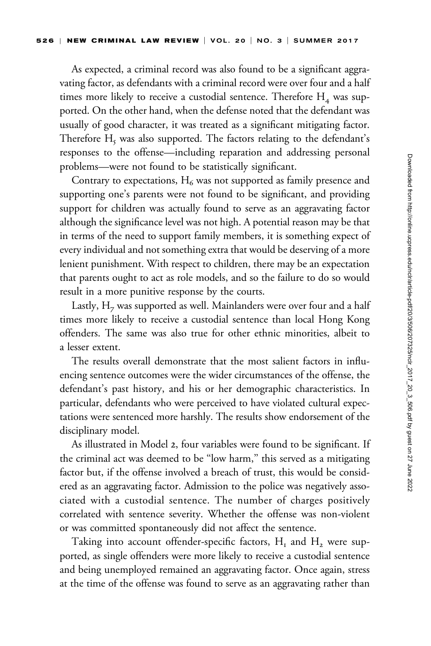As expected, a criminal record was also found to be a significant aggravating factor, as defendants with a criminal record were over four and a half times more likely to receive a custodial sentence. Therefore  $H<sub>4</sub>$  was supported. On the other hand, when the defense noted that the defendant was usually of good character, it was treated as a significant mitigating factor. Therefore  $H<sub>s</sub>$  was also supported. The factors relating to the defendant's responses to the offense—including reparation and addressing personal problems—were not found to be statistically significant.

Contrary to expectations,  $H_6$  was not supported as family presence and supporting one's parents were not found to be significant, and providing support for children was actually found to serve as an aggravating factor although the significance level was not high. A potential reason may be that in terms of the need to support family members, it is something expect of every individual and not something extra that would be deserving of a more lenient punishment. With respect to children, there may be an expectation that parents ought to act as role models, and so the failure to do so would result in a more punitive response by the courts.

Lastly,  $H<sub>7</sub>$  was supported as well. Mainlanders were over four and a half times more likely to receive a custodial sentence than local Hong Kong offenders. The same was also true for other ethnic minorities, albeit to a lesser extent.

The results overall demonstrate that the most salient factors in influencing sentence outcomes were the wider circumstances of the offense, the defendant's past history, and his or her demographic characteristics. In particular, defendants who were perceived to have violated cultural expectations were sentenced more harshly. The results show endorsement of the disciplinary model.

As illustrated in Model 2, four variables were found to be significant. If the criminal act was deemed to be ''low harm,'' this served as a mitigating factor but, if the offense involved a breach of trust, this would be considered as an aggravating factor. Admission to the police was negatively associated with a custodial sentence. The number of charges positively correlated with sentence severity. Whether the offense was non-violent or was committed spontaneously did not affect the sentence.

Taking into account offender-specific factors,  $H_1$  and  $H_2$  were supported, as single offenders were more likely to receive a custodial sentence and being unemployed remained an aggravating factor. Once again, stress at the time of the offense was found to serve as an aggravating rather than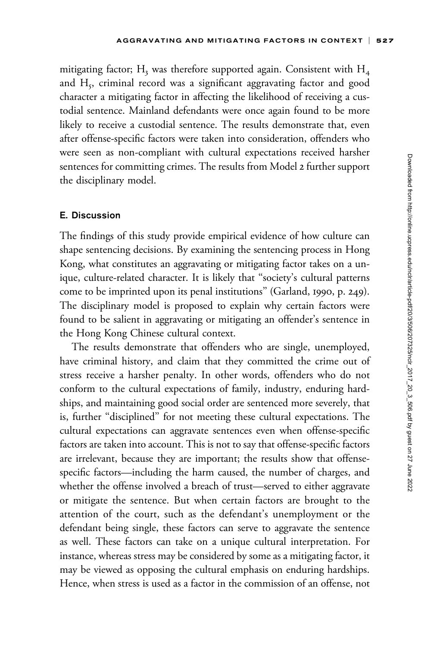mitigating factor;  $H_3$  was therefore supported again. Consistent with  $H_4$ and H<sub>5</sub>, criminal record was a significant aggravating factor and good character a mitigating factor in affecting the likelihood of receiving a custodial sentence. Mainland defendants were once again found to be more likely to receive a custodial sentence. The results demonstrate that, even after offense-specific factors were taken into consideration, offenders who were seen as non-compliant with cultural expectations received harsher sentences for committing crimes. The results from Model 2 further support the disciplinary model.

#### E. Discussion

The findings of this study provide empirical evidence of how culture can shape sentencing decisions. By examining the sentencing process in Hong Kong, what constitutes an aggravating or mitigating factor takes on a unique, culture-related character. It is likely that ''society's cultural patterns come to be imprinted upon its penal institutions'' (Garland, 1990, p. 249). The disciplinary model is proposed to explain why certain factors were found to be salient in aggravating or mitigating an offender's sentence in the Hong Kong Chinese cultural context.

The results demonstrate that offenders who are single, unemployed, have criminal history, and claim that they committed the crime out of stress receive a harsher penalty. In other words, offenders who do not conform to the cultural expectations of family, industry, enduring hardships, and maintaining good social order are sentenced more severely, that is, further "disciplined" for not meeting these cultural expectations. The cultural expectations can aggravate sentences even when offense-specific factors are taken into account. This is not to say that offense-specific factors are irrelevant, because they are important; the results show that offensespecific factors—including the harm caused, the number of charges, and whether the offense involved a breach of trust—served to either aggravate or mitigate the sentence. But when certain factors are brought to the attention of the court, such as the defendant's unemployment or the defendant being single, these factors can serve to aggravate the sentence as well. These factors can take on a unique cultural interpretation. For instance, whereas stress may be considered by some as a mitigating factor, it may be viewed as opposing the cultural emphasis on enduring hardships. Hence, when stress is used as a factor in the commission of an offense, not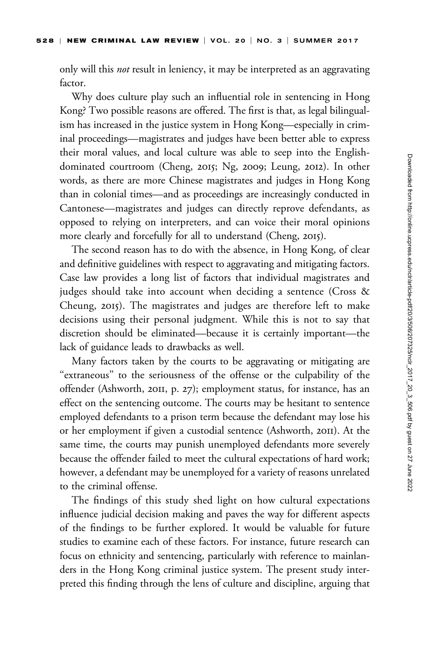only will this *not* result in leniency, it may be interpreted as an aggravating factor.

Why does culture play such an influential role in sentencing in Hong Kong? Two possible reasons are offered. The first is that, as legal bilingualism has increased in the justice system in Hong Kong—especially in criminal proceedings—magistrates and judges have been better able to express their moral values, and local culture was able to seep into the Englishdominated courtroom (Cheng, 2015; Ng, 2009; Leung, 2012). In other words, as there are more Chinese magistrates and judges in Hong Kong than in colonial times—and as proceedings are increasingly conducted in Cantonese—magistrates and judges can directly reprove defendants, as opposed to relying on interpreters, and can voice their moral opinions more clearly and forcefully for all to understand (Cheng, 2015).

The second reason has to do with the absence, in Hong Kong, of clear and definitive guidelines with respect to aggravating and mitigating factors. Case law provides a long list of factors that individual magistrates and judges should take into account when deciding a sentence (Cross & Cheung, 2015). The magistrates and judges are therefore left to make decisions using their personal judgment. While this is not to say that discretion should be eliminated—because it is certainly important—the lack of guidance leads to drawbacks as well.

Many factors taken by the courts to be aggravating or mitigating are "extraneous" to the seriousness of the offense or the culpability of the offender (Ashworth, 2011, p. 27); employment status, for instance, has an effect on the sentencing outcome. The courts may be hesitant to sentence employed defendants to a prison term because the defendant may lose his or her employment if given a custodial sentence (Ashworth, 2011). At the same time, the courts may punish unemployed defendants more severely because the offender failed to meet the cultural expectations of hard work; however, a defendant may be unemployed for a variety of reasons unrelated to the criminal offense.

The findings of this study shed light on how cultural expectations influence judicial decision making and paves the way for different aspects of the findings to be further explored. It would be valuable for future studies to examine each of these factors. For instance, future research can focus on ethnicity and sentencing, particularly with reference to mainlanders in the Hong Kong criminal justice system. The present study interpreted this finding through the lens of culture and discipline, arguing that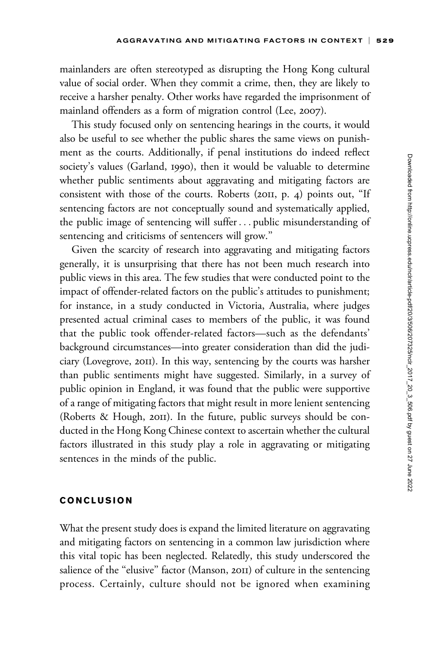mainlanders are often stereotyped as disrupting the Hong Kong cultural value of social order. When they commit a crime, then, they are likely to receive a harsher penalty. Other works have regarded the imprisonment of mainland offenders as a form of migration control (Lee, 2007).

This study focused only on sentencing hearings in the courts, it would also be useful to see whether the public shares the same views on punishment as the courts. Additionally, if penal institutions do indeed reflect society's values (Garland, 1990), then it would be valuable to determine whether public sentiments about aggravating and mitigating factors are consistent with those of the courts. Roberts (2011, p. 4) points out, ''If sentencing factors are not conceptually sound and systematically applied, the public image of sentencing will suffer ... public misunderstanding of sentencing and criticisms of sentencers will grow.''

Given the scarcity of research into aggravating and mitigating factors generally, it is unsurprising that there has not been much research into public views in this area. The few studies that were conducted point to the impact of offender-related factors on the public's attitudes to punishment; for instance, in a study conducted in Victoria, Australia, where judges presented actual criminal cases to members of the public, it was found that the public took offender-related factors—such as the defendants' background circumstances—into greater consideration than did the judiciary (Lovegrove, 2011). In this way, sentencing by the courts was harsher than public sentiments might have suggested. Similarly, in a survey of public opinion in England, it was found that the public were supportive of a range of mitigating factors that might result in more lenient sentencing (Roberts & Hough, 2011). In the future, public surveys should be conducted in the Hong Kong Chinese context to ascertain whether the cultural factors illustrated in this study play a role in aggravating or mitigating sentences in the minds of the public.

### CONCLUSION

What the present study does is expand the limited literature on aggravating and mitigating factors on sentencing in a common law jurisdiction where this vital topic has been neglected. Relatedly, this study underscored the salience of the "elusive" factor (Manson, 2011) of culture in the sentencing process. Certainly, culture should not be ignored when examining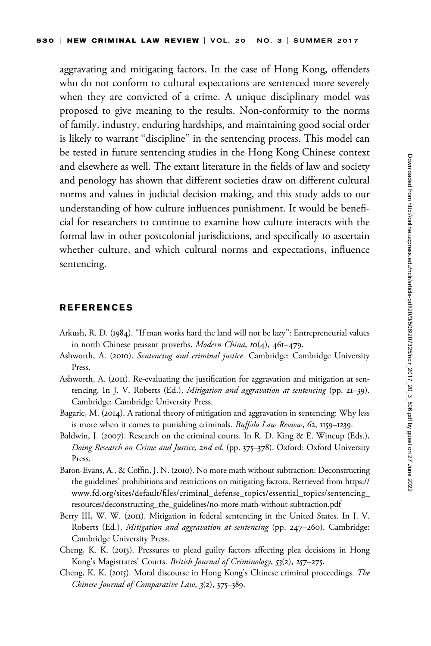aggravating and mitigating factors. In the case of Hong Kong, offenders who do not conform to cultural expectations are sentenced more severely when they are convicted of a crime. A unique disciplinary model was proposed to give meaning to the results. Non-conformity to the norms of family, industry, enduring hardships, and maintaining good social order is likely to warrant ''discipline'' in the sentencing process. This model can be tested in future sentencing studies in the Hong Kong Chinese context and elsewhere as well. The extant literature in the fields of law and society and penology has shown that different societies draw on different cultural norms and values in judicial decision making, and this study adds to our understanding of how culture influences punishment. It would be beneficial for researchers to continue to examine how culture interacts with the formal law in other postcolonial jurisdictions, and specifically to ascertain whether culture, and which cultural norms and expectations, influence sentencing.

#### REFERENCES

- Arkush, R. D. (1984). ''If man works hard the land will not be lazy'': Entrepreneurial values in north Chinese peasant proverbs. Modern China, 10(4), 461-479.
- Ashworth, A. (2010). Sentencing and criminal justice. Cambridge: Cambridge University Press.
- Ashworth, A. (2011). Re-evaluating the justification for aggravation and mitigation at sentencing. In J. V. Roberts (Ed.), Mitigation and aggravation at sentencing (pp. 21-39). Cambridge: Cambridge University Press.
- Bagaric, M. (2014). A rational theory of mitigation and aggravation in sentencing: Why less is more when it comes to punishing criminals. Buffalo Law Review, 62, 1159–1239.
- Baldwin, J. (2007). Research on the criminal courts. In R. D. King & E. Wincup (Eds.), Doing Research on Crime and Justice, 2nd ed. (pp. 375–378). Oxford: Oxford University Press.
- Baron-Evans, A., & Coffin, J. N. (2010). No more math without subtraction: Deconstructing the guidelines' prohibitions and restrictions on mitigating factors. Retrieved from [https://](https://www.fd.org/sites/default/files/criminal_defense_topics/essential_topics/sentencing_resources/deconstructing_the_guidelines/no-more-math-without-subtraction.pdf) [www.fd.org/sites/default/files/criminal\\_defense\\_topics/essential\\_topics/sentencing\\_](https://www.fd.org/sites/default/files/criminal_defense_topics/essential_topics/sentencing_resources/deconstructing_the_guidelines/no-more-math-without-subtraction.pdf) [resources/deconstructing\\_the\\_guidelines/no-more-math-without-subtraction.pdf](https://www.fd.org/sites/default/files/criminal_defense_topics/essential_topics/sentencing_resources/deconstructing_the_guidelines/no-more-math-without-subtraction.pdf)
- Berry III, W. W. (2011). Mitigation in federal sentencing in the United States. In J. V. Roberts (Ed.), *Mitigation and aggravation at sentencing* (pp. 247-260). Cambridge: Cambridge University Press.
- Cheng, K. K. (2013). Pressures to plead guilty factors affecting plea decisions in Hong Kong's Magistrates' Courts. British Journal of Criminology, 53(2), 257-275.
- Cheng, K. K. (2015). Moral discourse in Hong Kong's Chinese criminal proceedings. The Chinese Journal of Comparative Law, 3(2), 375–389.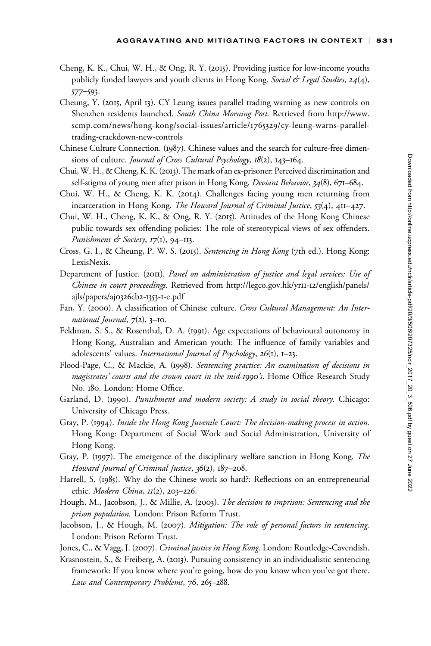- Cheng, K. K., Chui, W. H., & Ong, R. Y. (2015). Providing justice for low-income youths publicly funded lawyers and youth clients in Hong Kong. Social & Legal Studies,  $24(4)$ , 577–593.
- Cheung, Y. (2015, April 13). CY Leung issues parallel trading warning as new controls on Shenzhen residents launched. South China Morning Post. Retrieved from [http://www.](http://www.scmp.com/news/hong-kong/social-issues/article/1765329/cy-leung-warns-parallel-trading-crackdown-new-controls) [scmp.com/news/hong-kong/social-issues/article/](http://www.scmp.com/news/hong-kong/social-issues/article/1765329/cy-leung-warns-parallel-trading-crackdown-new-controls)1765329/cy-leung-warns-parallel[trading-crackdown-new-controls](http://www.scmp.com/news/hong-kong/social-issues/article/1765329/cy-leung-warns-parallel-trading-crackdown-new-controls)
- Chinese Culture Connection. (1987). Chinese values and the search for culture-free dimensions of culture. Journal of Cross Cultural Psychology, 18(2), 143-164.
- Chui,W. H., & Cheng, K. K. (2013). The mark of an ex-prisoner: Perceived discrimination and self-stigma of young men after prison in Hong Kong. Deviant Behavior, 34(8), 671–684.
- Chui, W. H., & Cheng, K. K. (2014). Challenges facing young men returning from incarceration in Hong Kong. The Howard Journal of Criminal Justice, 53(4), 411-427.
- Chui, W. H., Cheng, K. K., & Ong, R. Y. (2015). Attitudes of the Hong Kong Chinese public towards sex offending policies: The role of stereotypical views of sex offenders. Punishment & Society,  $I7(I)$ , 94–113.
- Cross, G. I., & Cheung, P. W. S. (2015). Sentencing in Hong Kong (7th ed.). Hong Kong: LexisNexis.
- Department of Justice. (2011). Panel on administration of justice and legal services: Use of Chinese in court proceedings. Retrieved from http://legco.gov.hk/yr11-12/english/panels/ ajls/papers/aj0326cb2-1353-1-e.pdf
- Fan, Y. (2000). A classification of Chinese culture. Cross Cultural Management: An International Journal,  $7(2)$ ,  $3-10$ .
- Feldman, S. S., & Rosenthal, D. A. (1991). Age expectations of behavioural autonomy in Hong Kong, Australian and American youth: The influence of family variables and adolescents' values. International Journal of Psychology, 26(1), 1-23.
- Flood-Page, C., & Mackie, A. (1998). Sentencing practice: An examination of decisions in magistrates' courts and the crown court in the mid-1990's. Home Office Research Study No. 180. London: Home Office.
- Garland, D. (1990). Punishment and modern society: A study in social theory. Chicago: University of Chicago Press.
- Gray, P. (1994). Inside the Hong Kong Juvenile Court: The decision-making process in action. Hong Kong: Department of Social Work and Social Administration, University of Hong Kong.
- Gray, P. (1997). The emergence of the disciplinary welfare sanction in Hong Kong. The Howard Journal of Criminal Justice, 36(2), 187–208.
- Harrell, S. (1985). Why do the Chinese work so hard?: Reflections on an entrepreneurial ethic. Modern China, 11(2), 203-226.
- Hough, M., Jacobson, J., & Millie, A. (2003). The decision to imprison: Sentencing and the prison population. London: Prison Reform Trust.
- Jacobson, J., & Hough, M. (2007). Mitigation: The role of personal factors in sentencing. London: Prison Reform Trust.
- Jones, C., & Vagg, J. (2007). Criminal justice in Hong Kong. London: Routledge-Cavendish.
- Krasnostein, S., & Freiberg, A. (2013). Pursuing consistency in an individualistic sentencing framework: If you know where you're going, how do you know when you've got there. Law and Contemporary Problems, 76, 265–288.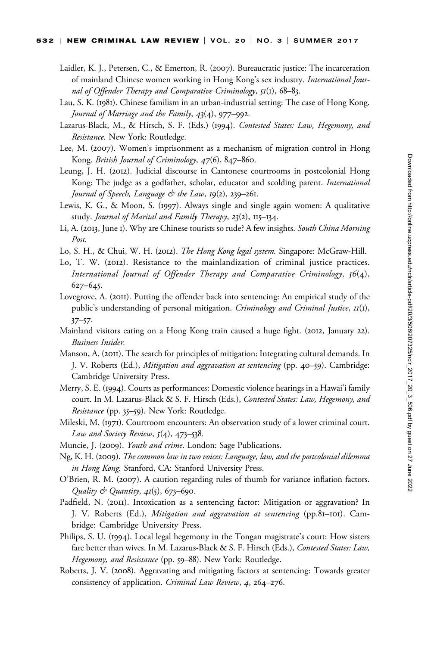- Laidler, K. J., Petersen, C., & Emerton, R. (2007). Bureaucratic justice: The incarceration of mainland Chinese women working in Hong Kong's sex industry. International Journal of Offender Therapy and Comparative Criminology, 51(1), 68–83.
- Lau, S. K. (1981). Chinese familism in an urban-industrial setting: The case of Hong Kong. Journal of Marriage and the Family, 43(4), 977–992.
- Lazarus-Black, M., & Hirsch, S. F. (Eds.) (1994). Contested States: Law, Hegemony, and Resistance. New York: Routledge.
- Lee, M. (2007). Women's imprisonment as a mechanism of migration control in Hong Kong. British Journal of Criminology, 47(6), 847-860.
- Leung, J. H. (2012). Judicial discourse in Cantonese courtrooms in postcolonial Hong Kong: The judge as a godfather, scholar, educator and scolding parent. *International* Journal of Speech, Language & the Law, 19(2), 239-261.
- Lewis, K. G., & Moon, S. (1997). Always single and single again women: A qualitative study. Journal of Marital and Family Therapy, 23(2), 115–134.
- Li, A. (2013, June 1). Why are Chinese tourists so rude? A few insights. South China Morning Post.
- Lo, S. H., & Chui, W. H. (2012). *The Hong Kong legal system*. Singapore: McGraw-Hill.
- Lo, T. W. (2012). Resistance to the mainlandization of criminal justice practices. International Journal of Offender Therapy and Comparative Criminology,  $56(4)$ , 627–645.
- Lovegrove, A. (2011). Putting the offender back into sentencing: An empirical study of the public's understanding of personal mitigation. Criminology and Criminal Justice, II(I), 37–57.
- Mainland visitors eating on a Hong Kong train caused a huge fight. (2012, January 22). Business Insider.
- Manson, A. (2011). The search for principles of mitigation: Integrating cultural demands. In J. V. Roberts (Ed.), *Mitigation and aggravation at sentencing* (pp. 40–59). Cambridge: Cambridge University Press.
- Merry, S. E. (1994). Courts as performances: Domestic violence hearings in a Hawai'i family court. In M. Lazarus-Black & S. F. Hirsch (Eds.), Contested States: Law, Hegemony, and Resistance (pp. 35-59). New York: Routledge.
- Mileski, M. (1971). Courtroom encounters: An observation study of a lower criminal court. Law and Society Review,  $5(4)$ ,  $473-538$ .
- Muncie, J. (2009). Youth and crime. London: Sage Publications.
- Ng, K. H. (2009). The common law in two voices: Language, law, and the postcolonial dilemma in Hong Kong. Stanford, CA: Stanford University Press.
- O'Brien, R. M. (2007). A caution regarding rules of thumb for variance inflation factors. Quality & Quantity,  $4I(5)$ , 673–690.
- Padfield, N. (2011). Intoxication as a sentencing factor: Mitigation or aggravation? In J. V. Roberts (Ed.), Mitigation and aggravation at sentencing (pp.81–101). Cambridge: Cambridge University Press.
- Philips, S. U. (1994). Local legal hegemony in the Tongan magistrate's court: How sisters fare better than wives. In M. Lazarus-Black & S. F. Hirsch (Eds.), Contested States: Law, Hegemony, and Resistance (pp. 59–88). New York: Routledge.
- Roberts, J. V. (2008). Aggravating and mitigating factors at sentencing: Towards greater consistency of application. Criminal Law Review, 4, 264–276.